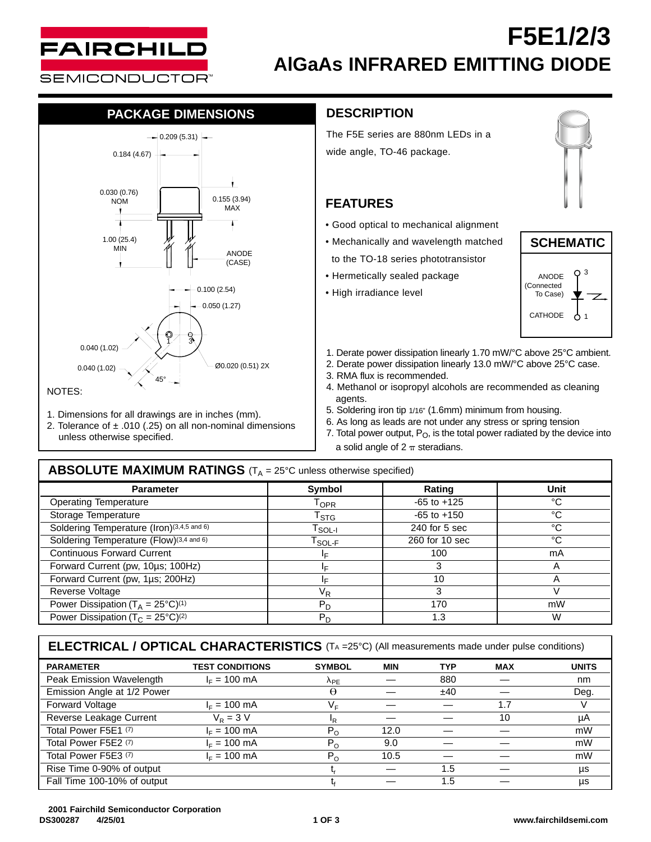

# **F5E1/2/3 AlGaAs INFRARED EMITTING DIODE**

## **PACKAGE DIMENSIONS**



- 1. Dimensions for all drawings are in inches (mm).
- 2. Tolerance of  $\pm$  .010 (.25) on all non-nominal dimensions unless otherwise specified.

## **DESCRIPTION**

The F5E series are 880nm LEDs in a wide angle, TO-46 package.

## **FEATURES**

- Good optical to mechanical alignment
- Mechanically and wavelength matched to the TO-18 series phototransistor
- Hermetically sealed package
- High irradiance level





- 1. Derate power dissipation linearly 1.70 mW/°C above 25°C ambient.
- 2. Derate power dissipation linearly 13.0 mW/°C above 25°C case.
- 3. RMA flux is recommended.
- 4. Methanol or isopropyl alcohols are recommended as cleaning agents.
- 5. Soldering iron tip 1/16" (1.6mm) minimum from housing.
- 6. As long as leads are not under any stress or spring tension
- 7. Total power output,  $P_O$ , is the total power radiated by the device into a solid angle of  $2 \pi$  steradians.

### Parameter | Symbol | Rating | Unit Operating Temperature T<sub>OPR</sub> -65 to +125 °C<br>Storage Temperature T<sub>STC</sub> -65 to +150 °C Storage Temperature  $\frac{1}{\text{C}}$ <br>
Soldering Temperature (Iron)(3,4,5 and 6) Teory Teory 1 240 for 5 sec contract the Collection of Collection of Collection of Collection of Collection of Collection of Collection of Collect Soldering Temperature (Iron)<sup>(3,4,5 and 6)</sup> T<sub>SOL-I</sub> 240 for 5 sec <sup>°C</sup><br>
Soldering Temperature (Flow)<sup>(3,4 and 6)</sup> TSOLE 260 for 10 sec <sup>°C</sup> Soldering Temperature (Flow)<sup>(3,4 and 6)</sup>  $T_{SOL-F}$ Continuous Forward Current **IF** 100 mA Forward Current (pw, 10µs; 100Hz) <br>
Forward Current (pw, 1us; 200Hz) **IF 3** A<br>
IF 3 3 A<br>
A Forward Current (pw, 1µs; 200Hz)  $\frac{1_F}{V_R}$  10 A<br>Reverse Voltage 3 Reverse Voltage Power Dissipation (T<sub>A</sub> = 25°C)<sup>(1)</sup>  $P_D$  170 170 mW Power Dissipation (T<sub>C</sub> = 25°C)<sup>(2)</sup> PD PD 1.3 W **ABSOLUTE MAXIMUM RATINGS** (T<sub>A</sub> = 25°C unless otherwise specified)

**PARAMETER TEST CONDITIONS SYMBOL MIN TYP MAX UNITS** Peak Emission Wavelength  $I_F = 100 \text{ mA}$   $\lambda_{PE}$  — 880 — nm<br>Emission Angle at 1/2 Power  $\theta$  —  $\pm 40$  — Deg Emission Angle at 1/2 Power  $\theta$   $\pm 40$   $-$  Deg. Forward Voltage  $I_F = 100 \text{ mA}$   $V_F = 100 \text{ mA}$   $I.7 = 1.7$  V Reverse Leakage Current VR = 3 V IR — — 10 µA Total Power F5E1 (7)  $I_F = 100 \text{ mA}$   $P_O$   $12.0$   $-$  mW<br>Total Power F5E2 (7)  $I_F = 100 \text{ mA}$   $P_O$   $9.0$   $-$  mW Total Power F5E2 (7)  $I_F = 100 \text{ mA}$   $P_0 = 9.0$   $-I_C = 100 \text{ mA}$   $P_1 = 100 \text{ mA}$   $P_2 = 100 \text{ mA}$   $P_3 = 100 \text{ mA}$   $P_4 = 100 \text{ mA}$   $P_5 = 100 \text{ AA}$   $P_6 = 100 \text{ AA}$   $P_7 = 100 \text{ AA}$   $P_8 = 100 \text{ AA}$   $P_9 = 100 \text{ AA}$   $P_9 = 100 \text{ AA}$ Total Power F5E3 (7)  $I_F = 100 \text{ mA}$  P<sub>O</sub> Rise Time 0-90% of output  $t$ ,  $1.5$   $\mu$ s Fall Time 100-10% of output  $t_f$   $-$  1.5  $-$  µs **ELECTRICAL / OPTICAL CHARACTERISTICS** (TA =25°C) (All measurements made under pulse conditions)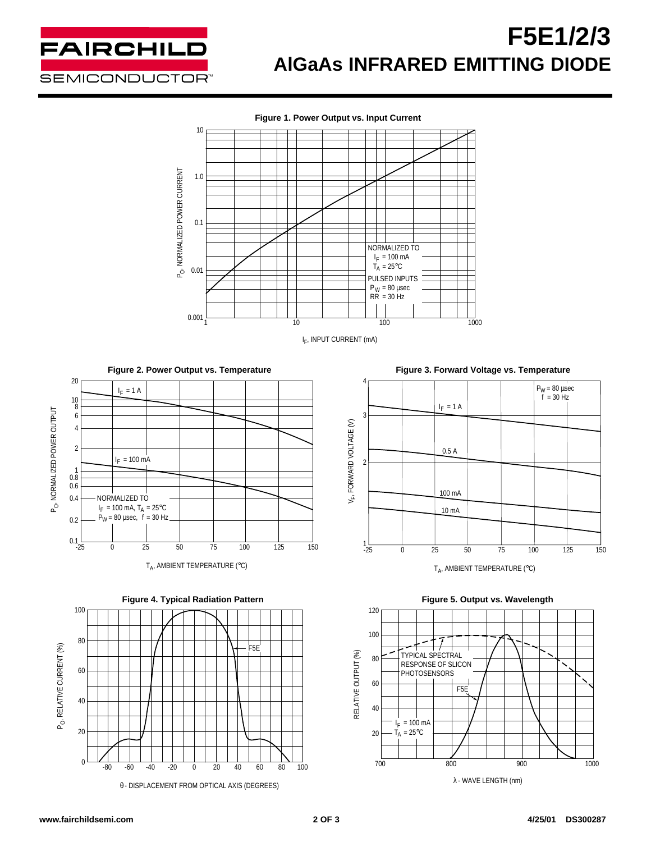

# **F5E1/2/3 AlGaAs INFRARED EMITTING DIODE**





**Figure 2. Power Output vs. Temperature**





**Figure 3. Forward Voltage vs. Temperature**





λ - WAVE LENGTH (nm)